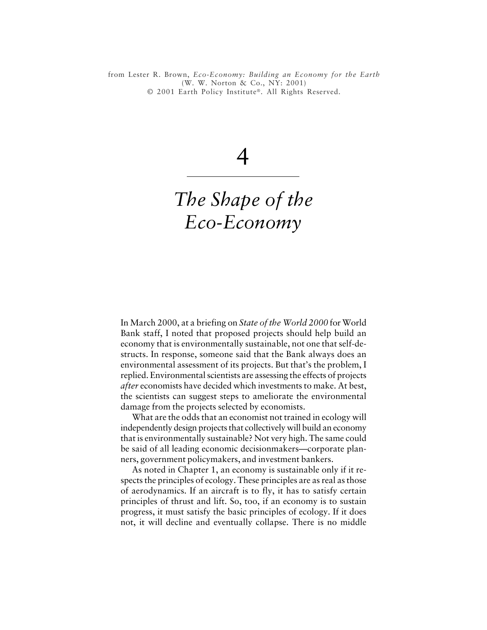*The Shape of the Eco-Economy 77* © 2001 Earth Policy Institute®. All Rights Reserved.from Lester R. Brown, *Eco-Economy: Building an Economy for the Earth* (W. W. Norton & Co., NY: 2001)

# 4

# *The Shape of the Eco-Economy*

In March 2000, at a briefing on *State of the World 2000* for World Bank staff, I noted that proposed projects should help build an economy that is environmentally sustainable, not one that self-destructs. In response, someone said that the Bank always does an environmental assessment of its projects. But that's the problem, I replied. Environmental scientists are assessing the effects of projects *after* economists have decided which investments to make. At best, the scientists can suggest steps to ameliorate the environmental damage from the projects selected by economists.

What are the odds that an economist not trained in ecology will independently design projects that collectively will build an economy that is environmentally sustainable? Not very high. The same could be said of all leading economic decisionmakers—corporate planners, government policymakers, and investment bankers.

As noted in Chapter 1, an economy is sustainable only if it respects the principles of ecology. These principles are as real as those of aerodynamics. If an aircraft is to fly, it has to satisfy certain principles of thrust and lift. So, too, if an economy is to sustain progress, it must satisfy the basic principles of ecology. If it does not, it will decline and eventually collapse. There is no middle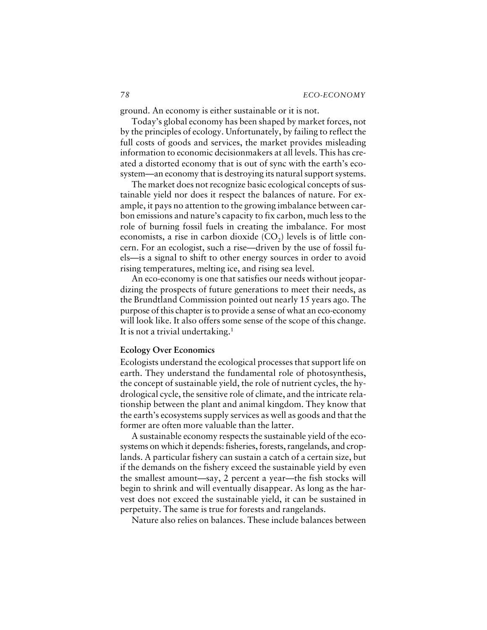ground. An economy is either sustainable or it is not.

Today's global economy has been shaped by market forces, not by the principles of ecology. Unfortunately, by failing to reflect the full costs of goods and services, the market provides misleading information to economic decisionmakers at all levels. This has created a distorted economy that is out of sync with the earth's ecosystem—an economy that is destroying its natural support systems.

The market does not recognize basic ecological concepts of sustainable yield nor does it respect the balances of nature. For example, it pays no attention to the growing imbalance between carbon emissions and nature's capacity to fix carbon, much less to the role of burning fossil fuels in creating the imbalance. For most economists, a rise in carbon dioxide  $(CO_2)$  levels is of little concern. For an ecologist, such a rise—driven by the use of fossil fuels—is a signal to shift to other energy sources in order to avoid rising temperatures, melting ice, and rising sea level.

An eco-economy is one that satisfies our needs without jeopardizing the prospects of future generations to meet their needs, as the Brundtland Commission pointed out nearly 15 years ago. The purpose of this chapter is to provide a sense of what an eco-economy will look like. It also offers some sense of the scope of this change. It is not a trivial undertaking.<sup>1</sup>

## **Ecology Over Economics**

Ecologists understand the ecological processes that support life on earth. They understand the fundamental role of photosynthesis, the concept of sustainable yield, the role of nutrient cycles, the hydrological cycle, the sensitive role of climate, and the intricate relationship between the plant and animal kingdom. They know that the earth's ecosystems supply services as well as goods and that the former are often more valuable than the latter.

A sustainable economy respects the sustainable yield of the ecosystems on which it depends: fisheries, forests, rangelands, and croplands. A particular fishery can sustain a catch of a certain size, but if the demands on the fishery exceed the sustainable yield by even the smallest amount—say, 2 percent a year—the fish stocks will begin to shrink and will eventually disappear. As long as the harvest does not exceed the sustainable yield, it can be sustained in perpetuity. The same is true for forests and rangelands.

Nature also relies on balances. These include balances between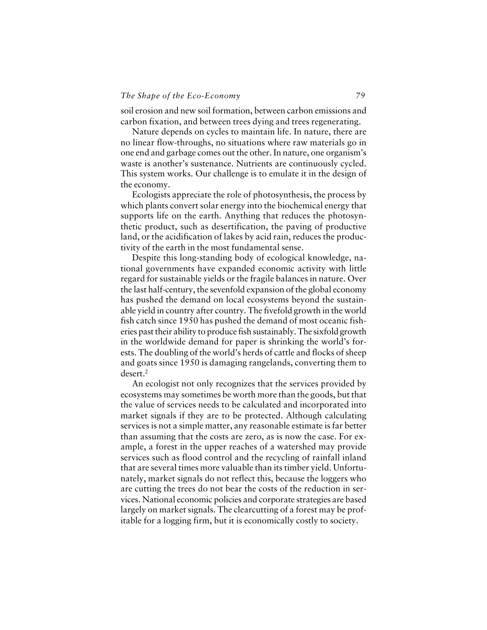soil erosion and new soil formation, between carbon emissions and carbon fixation, and between trees dying and trees regenerating.

Nature depends on cycles to maintain life. In nature, there are no linear flow-throughs, no situations where raw materials go in one end and garbage comes out the other. In nature, one organism's waste is another's sustenance. Nutrients are continuously cycled. This system works. Our challenge is to emulate it in the design of the economy.

Ecologists appreciate the role of photosynthesis, the process by which plants convert solar energy into the biochemical energy that supports life on the earth. Anything that reduces the photosynthetic product, such as desertification, the paving of productive land, or the acidification of lakes by acid rain, reduces the productivity of the earth in the most fundamental sense.

Despite this long-standing body of ecological knowledge, national governments have expanded economic activity with little regard for sustainable yields or the fragile balances in nature. Over the last half-century, the sevenfold expansion of the global economy has pushed the demand on local ecosystems beyond the sustainable yield in country after country. The fivefold growth in the world fish catch since 1950 has pushed the demand of most oceanic fisheries past their ability to produce fish sustainably. The sixfold growth in the worldwide demand for paper is shrinking the world's forests. The doubling of the world's herds of cattle and flocks of sheep and goats since 1950 is damaging rangelands, converting them to desert.<sup>2</sup>

An ecologist not only recognizes that the services provided by ecosystems may sometimes be worth more than the goods, but that the value of services needs to be calculated and incorporated into market signals if they are to be protected. Although calculating services is not a simple matter, any reasonable estimate is far better than assuming that the costs are zero, as is now the case. For example, a forest in the upper reaches of a watershed may provide services such as flood control and the recycling of rainfall inland that are several times more valuable than its timber yield. Unfortunately, market signals do not reflect this, because the loggers who are cutting the trees do not bear the costs of the reduction in services. National economic policies and corporate strategies are based largely on market signals. The clearcutting of a forest may be profitable for a logging firm, but it is economically costly to society.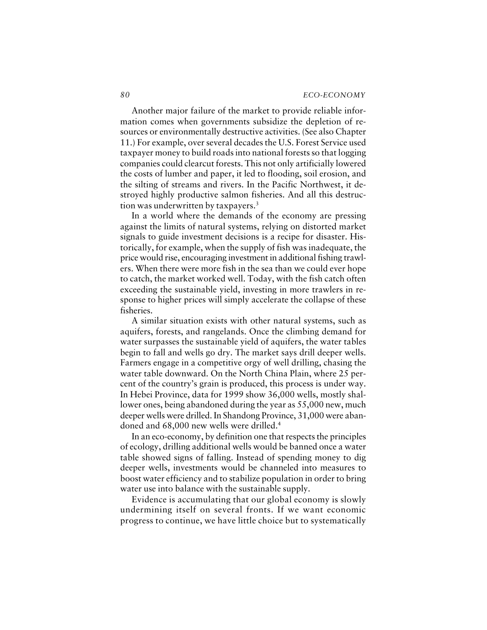Another major failure of the market to provide reliable information comes when governments subsidize the depletion of resources or environmentally destructive activities. (See also Chapter 11.) For example, over several decades the U.S. Forest Service used taxpayer money to build roads into national forests so that logging companies could clearcut forests. This not only artificially lowered the costs of lumber and paper, it led to flooding, soil erosion, and the silting of streams and rivers. In the Pacific Northwest, it destroyed highly productive salmon fisheries. And all this destruction was underwritten by taxpayers.<sup>3</sup>

In a world where the demands of the economy are pressing against the limits of natural systems, relying on distorted market signals to guide investment decisions is a recipe for disaster. Historically, for example, when the supply of fish was inadequate, the price would rise, encouraging investment in additional fishing trawlers. When there were more fish in the sea than we could ever hope to catch, the market worked well. Today, with the fish catch often exceeding the sustainable yield, investing in more trawlers in response to higher prices will simply accelerate the collapse of these fisheries.

A similar situation exists with other natural systems, such as aquifers, forests, and rangelands. Once the climbing demand for water surpasses the sustainable yield of aquifers, the water tables begin to fall and wells go dry. The market says drill deeper wells. Farmers engage in a competitive orgy of well drilling, chasing the water table downward. On the North China Plain, where 25 percent of the country's grain is produced, this process is under way. In Hebei Province, data for 1999 show 36,000 wells, mostly shallower ones, being abandoned during the year as 55,000 new, much deeper wells were drilled. In Shandong Province, 31,000 were abandoned and 68,000 new wells were drilled.<sup>4</sup>

In an eco-economy, by definition one that respects the principles of ecology, drilling additional wells would be banned once a water table showed signs of falling. Instead of spending money to dig deeper wells, investments would be channeled into measures to boost water efficiency and to stabilize population in order to bring water use into balance with the sustainable supply.

Evidence is accumulating that our global economy is slowly undermining itself on several fronts. If we want economic progress to continue, we have little choice but to systematically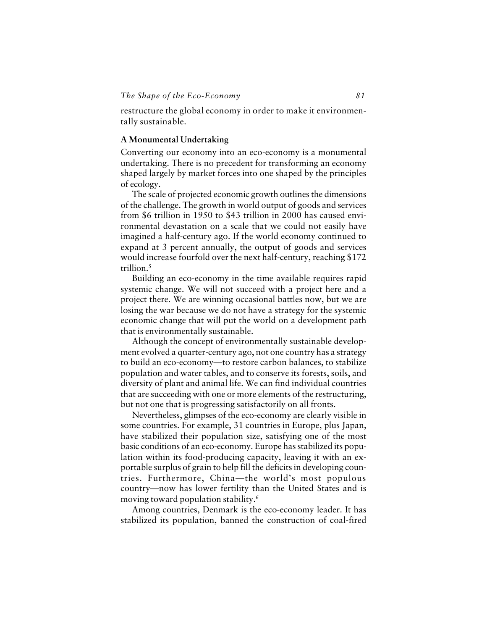restructure the global economy in order to make it environmentally sustainable.

#### **A Monumental Undertaking**

Converting our economy into an eco-economy is a monumental undertaking. There is no precedent for transforming an economy shaped largely by market forces into one shaped by the principles of ecology.

The scale of projected economic growth outlines the dimensions of the challenge. The growth in world output of goods and services from \$6 trillion in 1950 to \$43 trillion in 2000 has caused environmental devastation on a scale that we could not easily have imagined a half-century ago. If the world economy continued to expand at 3 percent annually, the output of goods and services would increase fourfold over the next half-century, reaching \$172 trillion. $5$ 

Building an eco-economy in the time available requires rapid systemic change. We will not succeed with a project here and a project there. We are winning occasional battles now, but we are losing the war because we do not have a strategy for the systemic economic change that will put the world on a development path that is environmentally sustainable.

Although the concept of environmentally sustainable development evolved a quarter-century ago, not one country has a strategy to build an eco-economy—to restore carbon balances, to stabilize population and water tables, and to conserve its forests, soils, and diversity of plant and animal life. We can find individual countries that are succeeding with one or more elements of the restructuring, but not one that is progressing satisfactorily on all fronts.

Nevertheless, glimpses of the eco-economy are clearly visible in some countries. For example, 31 countries in Europe, plus Japan, have stabilized their population size, satisfying one of the most basic conditions of an eco-economy. Europe has stabilized its population within its food-producing capacity, leaving it with an exportable surplus of grain to help fill the deficits in developing countries. Furthermore, China—the world's most populous country—now has lower fertility than the United States and is moving toward population stability.<sup>6</sup>

Among countries, Denmark is the eco-economy leader. It has stabilized its population, banned the construction of coal-fired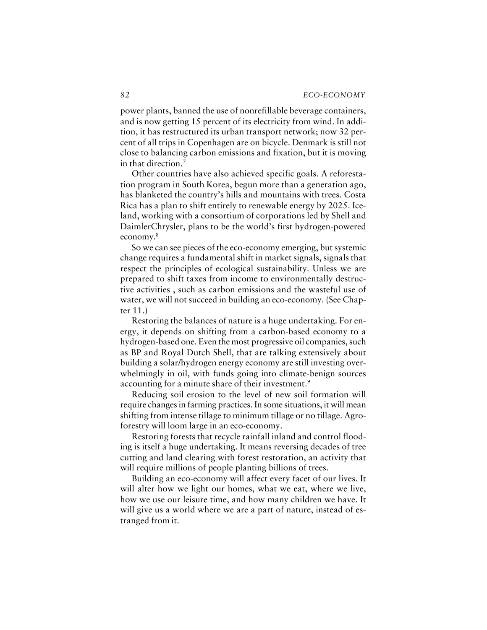power plants, banned the use of nonrefillable beverage containers, and is now getting 15 percent of its electricity from wind. In addition, it has restructured its urban transport network; now 32 percent of all trips in Copenhagen are on bicycle. Denmark is still not close to balancing carbon emissions and fixation, but it is moving in that direction.<sup>7</sup>

Other countries have also achieved specific goals. A reforestation program in South Korea, begun more than a generation ago, has blanketed the country's hills and mountains with trees. Costa Rica has a plan to shift entirely to renewable energy by 2025. Iceland, working with a consortium of corporations led by Shell and DaimlerChrysler, plans to be the world's first hydrogen-powered economy.<sup>8</sup>

So we can see pieces of the eco-economy emerging, but systemic change requires a fundamental shift in market signals, signals that respect the principles of ecological sustainability. Unless we are prepared to shift taxes from income to environmentally destructive activities , such as carbon emissions and the wasteful use of water, we will not succeed in building an eco-economy. (See Chapter 11.)

Restoring the balances of nature is a huge undertaking. For energy, it depends on shifting from a carbon-based economy to a hydrogen-based one. Even the most progressive oil companies, such as BP and Royal Dutch Shell, that are talking extensively about building a solar/hydrogen energy economy are still investing overwhelmingly in oil, with funds going into climate-benign sources accounting for a minute share of their investment.<sup>9</sup>

Reducing soil erosion to the level of new soil formation will require changes in farming practices. In some situations, it will mean shifting from intense tillage to minimum tillage or no tillage. Agroforestry will loom large in an eco-economy.

Restoring forests that recycle rainfall inland and control flooding is itself a huge undertaking. It means reversing decades of tree cutting and land clearing with forest restoration, an activity that will require millions of people planting billions of trees.

Building an eco-economy will affect every facet of our lives. It will alter how we light our homes, what we eat, where we live, how we use our leisure time, and how many children we have. It will give us a world where we are a part of nature, instead of estranged from it.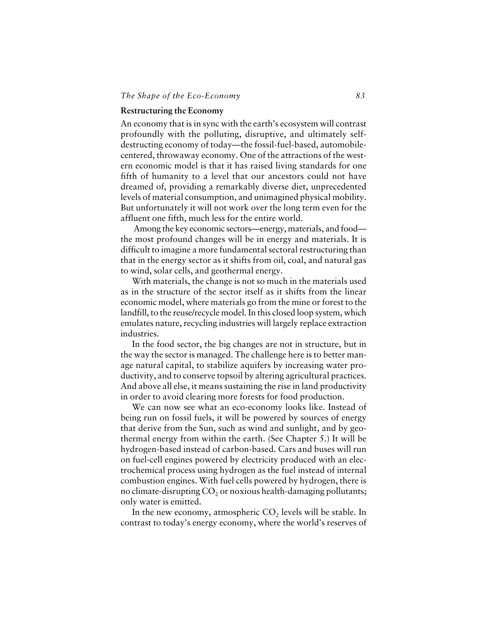#### **Restructuring the Economy**

An economy that is in sync with the earth's ecosystem will contrast profoundly with the polluting, disruptive, and ultimately selfdestructing economy of today—the fossil-fuel-based, automobilecentered, throwaway economy. One of the attractions of the western economic model is that it has raised living standards for one fifth of humanity to a level that our ancestors could not have dreamed of, providing a remarkably diverse diet, unprecedented levels of material consumption, and unimagined physical mobility. But unfortunately it will not work over the long term even for the affluent one fifth, much less for the entire world.

 Among the key economic sectors—energy, materials, and food the most profound changes will be in energy and materials. It is difficult to imagine a more fundamental sectoral restructuring than that in the energy sector as it shifts from oil, coal, and natural gas to wind, solar cells, and geothermal energy.

With materials, the change is not so much in the materials used as in the structure of the sector itself as it shifts from the linear economic model, where materials go from the mine or forest to the landfill, to the reuse/recycle model. In this closed loop system, which emulates nature, recycling industries will largely replace extraction industries.

In the food sector, the big changes are not in structure, but in the way the sector is managed. The challenge here is to better manage natural capital, to stabilize aquifers by increasing water productivity, and to conserve topsoil by altering agricultural practices. And above all else, it means sustaining the rise in land productivity in order to avoid clearing more forests for food production.

We can now see what an eco-economy looks like. Instead of being run on fossil fuels, it will be powered by sources of energy that derive from the Sun, such as wind and sunlight, and by geothermal energy from within the earth. (See Chapter 5.) It will be hydrogen-based instead of carbon-based. Cars and buses will run on fuel-cell engines powered by electricity produced with an electrochemical process using hydrogen as the fuel instead of internal combustion engines. With fuel cells powered by hydrogen, there is no climate-disrupting CO<sub>2</sub> or noxious health-damaging pollutants; only water is emitted.

In the new economy, atmospheric  $\mathrm{CO}_2$  levels will be stable. In contrast to today's energy economy, where the world's reserves of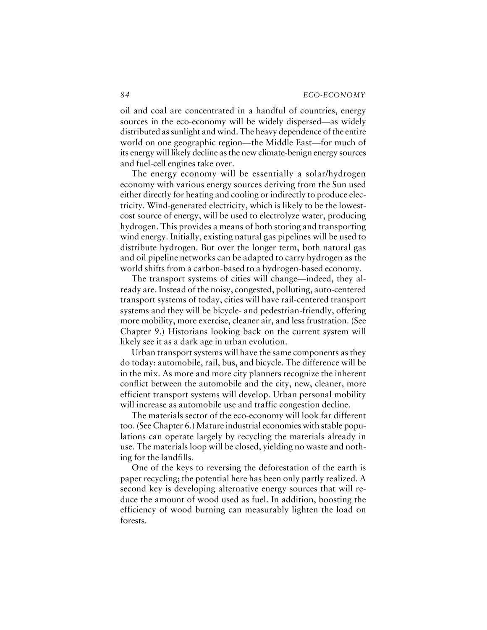oil and coal are concentrated in a handful of countries, energy sources in the eco-economy will be widely dispersed—as widely distributed as sunlight and wind. The heavy dependence of the entire world on one geographic region—the Middle East—for much of its energy will likely decline as the new climate-benign energy sources and fuel-cell engines take over.

The energy economy will be essentially a solar/hydrogen economy with various energy sources deriving from the Sun used either directly for heating and cooling or indirectly to produce electricity. Wind-generated electricity, which is likely to be the lowestcost source of energy, will be used to electrolyze water, producing hydrogen. This provides a means of both storing and transporting wind energy. Initially, existing natural gas pipelines will be used to distribute hydrogen. But over the longer term, both natural gas and oil pipeline networks can be adapted to carry hydrogen as the world shifts from a carbon-based to a hydrogen-based economy.

The transport systems of cities will change—indeed, they already are. Instead of the noisy, congested, polluting, auto-centered transport systems of today, cities will have rail-centered transport systems and they will be bicycle- and pedestrian-friendly, offering more mobility, more exercise, cleaner air, and less frustration. (See Chapter 9.) Historians looking back on the current system will likely see it as a dark age in urban evolution.

Urban transport systems will have the same components as they do today: automobile, rail, bus, and bicycle. The difference will be in the mix. As more and more city planners recognize the inherent conflict between the automobile and the city, new, cleaner, more efficient transport systems will develop. Urban personal mobility will increase as automobile use and traffic congestion decline.

The materials sector of the eco-economy will look far different too. (See Chapter 6.) Mature industrial economies with stable populations can operate largely by recycling the materials already in use. The materials loop will be closed, yielding no waste and nothing for the landfills.

One of the keys to reversing the deforestation of the earth is paper recycling; the potential here has been only partly realized. A second key is developing alternative energy sources that will reduce the amount of wood used as fuel. In addition, boosting the efficiency of wood burning can measurably lighten the load on forests.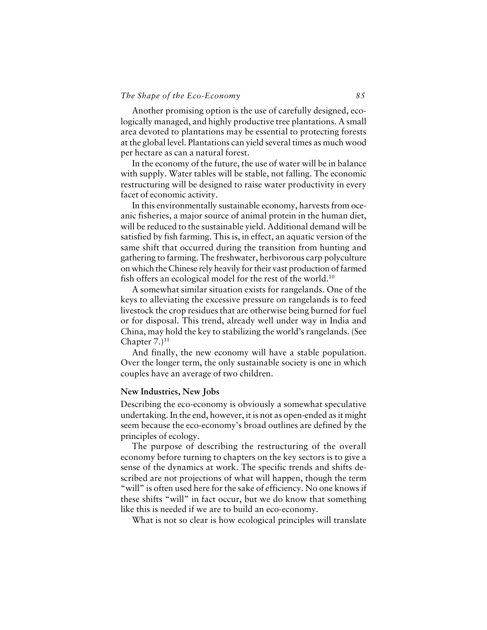Another promising option is the use of carefully designed, ecologically managed, and highly productive tree plantations. A small area devoted to plantations may be essential to protecting forests at the global level. Plantations can yield several times as much wood per hectare as can a natural forest.

In the economy of the future, the use of water will be in balance with supply. Water tables will be stable, not falling. The economic restructuring will be designed to raise water productivity in every facet of economic activity.

In this environmentally sustainable economy, harvests from oceanic fisheries, a major source of animal protein in the human diet, will be reduced to the sustainable yield. Additional demand will be satisfied by fish farming. This is, in effect, an aquatic version of the same shift that occurred during the transition from hunting and gathering to farming. The freshwater, herbivorous carp polyculture on which the Chinese rely heavily for their vast production of farmed fish offers an ecological model for the rest of the world.<sup>10</sup>

A somewhat similar situation exists for rangelands. One of the keys to alleviating the excessive pressure on rangelands is to feed livestock the crop residues that are otherwise being burned for fuel or for disposal. This trend, already well under way in India and China, may hold the key to stabilizing the world's rangelands. (See Chapter  $7.11$ 

And finally, the new economy will have a stable population. Over the longer term, the only sustainable society is one in which couples have an average of two children.

#### **New Industries, New Jobs**

Describing the eco-economy is obviously a somewhat speculative undertaking. In the end, however, it is not as open-ended as it might seem because the eco-economy's broad outlines are defined by the principles of ecology.

The purpose of describing the restructuring of the overall economy before turning to chapters on the key sectors is to give a sense of the dynamics at work. The specific trends and shifts described are not projections of what will happen, though the term "will" is often used here for the sake of efficiency. No one knows if these shifts "will" in fact occur, but we do know that something like this is needed if we are to build an eco-economy.

What is not so clear is how ecological principles will translate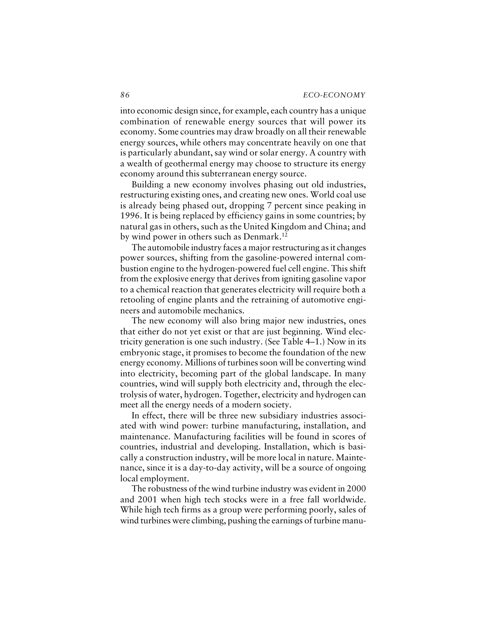#### *86 ECO-ECONOMY*

into economic design since, for example, each country has a unique combination of renewable energy sources that will power its economy. Some countries may draw broadly on all their renewable energy sources, while others may concentrate heavily on one that is particularly abundant, say wind or solar energy. A country with a wealth of geothermal energy may choose to structure its energy economy around this subterranean energy source.

Building a new economy involves phasing out old industries, restructuring existing ones, and creating new ones. World coal use is already being phased out, dropping 7 percent since peaking in 1996. It is being replaced by efficiency gains in some countries; by natural gas in others, such as the United Kingdom and China; and by wind power in others such as Denmark.<sup>12</sup>

The automobile industry faces a major restructuring as it changes power sources, shifting from the gasoline-powered internal combustion engine to the hydrogen-powered fuel cell engine. This shift from the explosive energy that derives from igniting gasoline vapor to a chemical reaction that generates electricity will require both a retooling of engine plants and the retraining of automotive engineers and automobile mechanics.

The new economy will also bring major new industries, ones that either do not yet exist or that are just beginning. Wind electricity generation is one such industry. (See Table 4–1.) Now in its embryonic stage, it promises to become the foundation of the new energy economy. Millions of turbines soon will be converting wind into electricity, becoming part of the global landscape. In many countries, wind will supply both electricity and, through the electrolysis of water, hydrogen. Together, electricity and hydrogen can meet all the energy needs of a modern society.

In effect, there will be three new subsidiary industries associated with wind power: turbine manufacturing, installation, and maintenance. Manufacturing facilities will be found in scores of countries, industrial and developing. Installation, which is basically a construction industry, will be more local in nature. Maintenance, since it is a day-to-day activity, will be a source of ongoing local employment.

The robustness of the wind turbine industry was evident in 2000 and 2001 when high tech stocks were in a free fall worldwide. While high tech firms as a group were performing poorly, sales of wind turbines were climbing, pushing the earnings of turbine manu-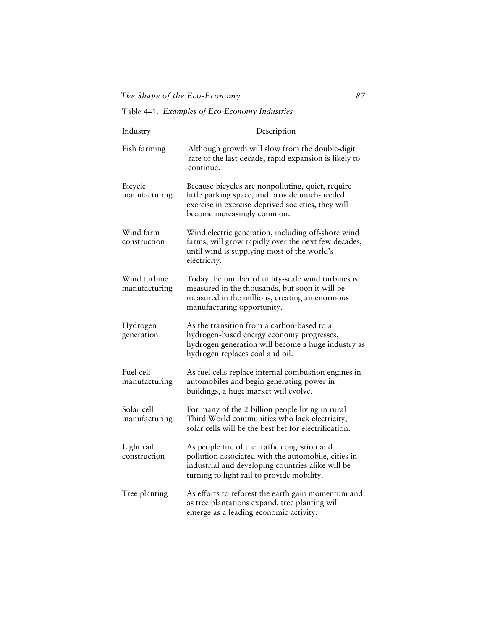Table 4–1. *Examples of Eco-Economy Industries*

| Industry                      | Description                                                                                                                                                                                            |
|-------------------------------|--------------------------------------------------------------------------------------------------------------------------------------------------------------------------------------------------------|
| Fish farming                  | Although growth will slow from the double-digit<br>rate of the last decade, rapid expansion is likely to<br>continue.                                                                                  |
| Bicycle<br>manufacturing      | Because bicycles are nonpolluting, quiet, require<br>little parking space, and provide much-needed<br>exercise in exercise-deprived societies, they will<br>become increasingly common.                |
| Wind farm<br>construction     | Wind electric generation, including off-shore wind<br>farms, will grow rapidly over the next few decades,<br>until wind is supplying most of the world's<br>electricity.                               |
| Wind turbine<br>manufacturing | Today the number of utility-scale wind turbines is<br>measured in the thousands, but soon it will be<br>measured in the millions, creating an enormous<br>manufacturing opportunity.                   |
| Hydrogen<br>generation        | As the transition from a carbon-based to a<br>hydrogen-based energy economy progresses,<br>hydrogen generation will become a huge industry as<br>hydrogen replaces coal and oil.                       |
| Fuel cell<br>manufacturing    | As fuel cells replace internal combustion engines in<br>automobiles and begin generating power in<br>buildings, a huge market will evolve.                                                             |
| Solar cell<br>manufacturing   | For many of the 2 billion people living in rural<br>Third World communities who lack electricity,<br>solar cells will be the best bet for electrification.                                             |
| Light rail<br>construction    | As people tire of the traffic congestion and<br>pollution associated with the automobile, cities in<br>industrial and developing countries alike will be<br>turning to light rail to provide mobility. |
| Tree planting                 | As efforts to reforest the earth gain momentum and<br>as tree plantations expand, tree planting will<br>emerge as a leading economic activity.                                                         |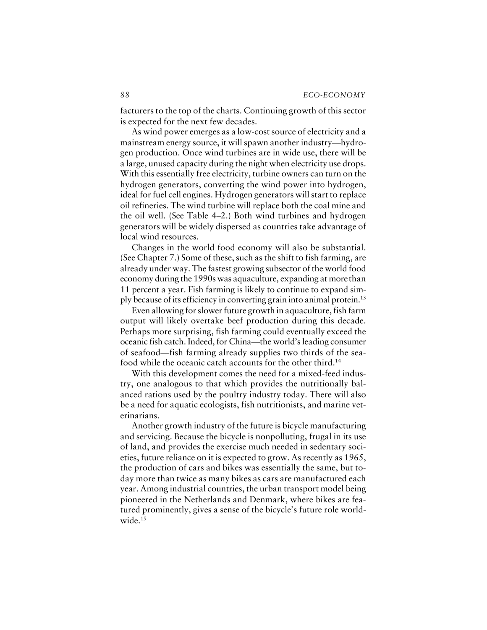facturers to the top of the charts. Continuing growth of this sector is expected for the next few decades.

As wind power emerges as a low-cost source of electricity and a mainstream energy source, it will spawn another industry—hydrogen production. Once wind turbines are in wide use, there will be a large, unused capacity during the night when electricity use drops. With this essentially free electricity, turbine owners can turn on the hydrogen generators, converting the wind power into hydrogen, ideal for fuel cell engines. Hydrogen generators will start to replace oil refineries. The wind turbine will replace both the coal mine and the oil well. (See Table 4–2.) Both wind turbines and hydrogen generators will be widely dispersed as countries take advantage of local wind resources.

Changes in the world food economy will also be substantial. (See Chapter 7.) Some of these, such as the shift to fish farming, are already under way. The fastest growing subsector of the world food economy during the 1990s was aquaculture, expanding at more than 11 percent a year. Fish farming is likely to continue to expand simply because of its efficiency in converting grain into animal protein. 13

Even allowing for slower future growth in aquaculture, fish farm output will likely overtake beef production during this decade. Perhaps more surprising, fish farming could eventually exceed the oceanic fish catch. Indeed, for China—the world's leading consumer of seafood—fish farming already supplies two thirds of the seafood while the oceanic catch accounts for the other third.<sup>14</sup>

With this development comes the need for a mixed-feed industry, one analogous to that which provides the nutritionally balanced rations used by the poultry industry today. There will also be a need for aquatic ecologists, fish nutritionists, and marine veterinarians.

Another growth industry of the future is bicycle manufacturing and servicing. Because the bicycle is nonpolluting, frugal in its use of land, and provides the exercise much needed in sedentary societies, future reliance on it is expected to grow. As recently as 1965, the production of cars and bikes was essentially the same, but today more than twice as many bikes as cars are manufactured each year. Among industrial countries, the urban transport model being pioneered in the Netherlands and Denmark, where bikes are featured prominently, gives a sense of the bicycle's future role worldwide.<sup>15</sup>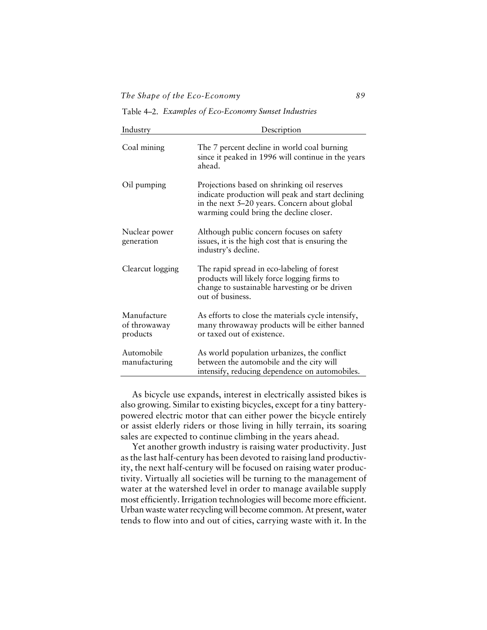Table 4–2. *Examples of Eco-Economy Sunset Industries*

| Industry                                | Description                                                                                                                                                                                 |
|-----------------------------------------|---------------------------------------------------------------------------------------------------------------------------------------------------------------------------------------------|
| Coal mining                             | The 7 percent decline in world coal burning<br>since it peaked in 1996 will continue in the years<br>ahead.                                                                                 |
| Oil pumping                             | Projections based on shrinking oil reserves<br>indicate production will peak and start declining<br>in the next 5-20 years. Concern about global<br>warming could bring the decline closer. |
| Nuclear power<br>generation             | Although public concern focuses on safety<br>issues, it is the high cost that is ensuring the<br>industry's decline.                                                                        |
| Clearcut logging                        | The rapid spread in eco-labeling of forest<br>products will likely force logging firms to<br>change to sustainable harvesting or be driven<br>out of business.                              |
| Manufacture<br>of throwaway<br>products | As efforts to close the materials cycle intensify,<br>many throwaway products will be either banned<br>or taxed out of existence.                                                           |
| Automobile<br>manufacturing             | As world population urbanizes, the conflict<br>between the automobile and the city will<br>intensify, reducing dependence on automobiles.                                                   |

As bicycle use expands, interest in electrically assisted bikes is also growing. Similar to existing bicycles, except for a tiny batterypowered electric motor that can either power the bicycle entirely or assist elderly riders or those living in hilly terrain, its soaring sales are expected to continue climbing in the years ahead.

Yet another growth industry is raising water productivity. Just as the last half-century has been devoted to raising land productivity, the next half-century will be focused on raising water productivity. Virtually all societies will be turning to the management of water at the watershed level in order to manage available supply most efficiently. Irrigation technologies will become more efficient. Urban waste water recycling will become common. At present, water tends to flow into and out of cities, carrying waste with it. In the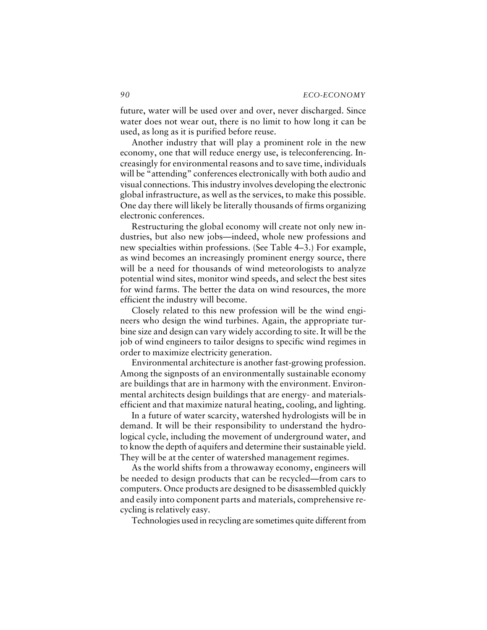future, water will be used over and over, never discharged. Since water does not wear out, there is no limit to how long it can be used, as long as it is purified before reuse.

Another industry that will play a prominent role in the new economy, one that will reduce energy use, is teleconferencing. Increasingly for environmental reasons and to save time, individuals will be "attending" conferences electronically with both audio and visual connections. This industry involves developing the electronic global infrastructure, as well as the services, to make this possible. One day there will likely be literally thousands of firms organizing electronic conferences.

Restructuring the global economy will create not only new industries, but also new jobs—indeed, whole new professions and new specialties within professions. (See Table 4–3.) For example, as wind becomes an increasingly prominent energy source, there will be a need for thousands of wind meteorologists to analyze potential wind sites, monitor wind speeds, and select the best sites for wind farms. The better the data on wind resources, the more efficient the industry will become.

Closely related to this new profession will be the wind engineers who design the wind turbines. Again, the appropriate turbine size and design can vary widely according to site. It will be the job of wind engineers to tailor designs to specific wind regimes in order to maximize electricity generation.

Environmental architecture is another fast-growing profession. Among the signposts of an environmentally sustainable economy are buildings that are in harmony with the environment. Environmental architects design buildings that are energy- and materialsefficient and that maximize natural heating, cooling, and lighting.

In a future of water scarcity, watershed hydrologists will be in demand. It will be their responsibility to understand the hydrological cycle, including the movement of underground water, and to know the depth of aquifers and determine their sustainable yield. They will be at the center of watershed management regimes.

As the world shifts from a throwaway economy, engineers will be needed to design products that can be recycled—from cars to computers. Once products are designed to be disassembled quickly and easily into component parts and materials, comprehensive recycling is relatively easy.

Technologies used in recycling are sometimes quite different from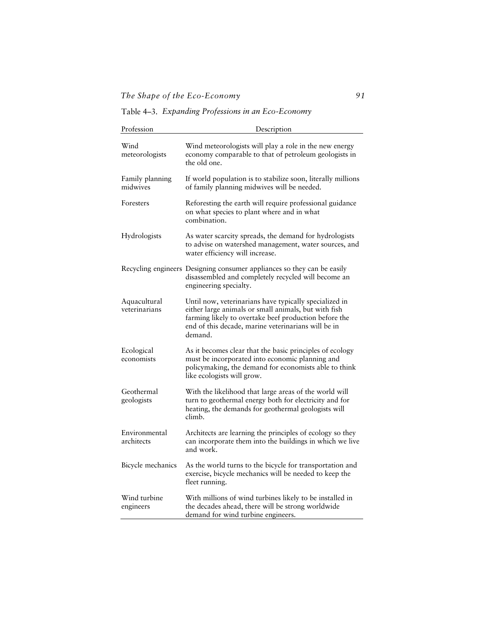Table 4–3. *Expanding Professions in an Eco-Economy*

| Profession                    | Description                                                                                                                                                                                                                               |
|-------------------------------|-------------------------------------------------------------------------------------------------------------------------------------------------------------------------------------------------------------------------------------------|
| Wind<br>meteorologists        | Wind meteorologists will play a role in the new energy<br>economy comparable to that of petroleum geologists in<br>the old one.                                                                                                           |
| Family planning<br>midwives   | If world population is to stabilize soon, literally millions<br>of family planning midwives will be needed.                                                                                                                               |
| Foresters                     | Reforesting the earth will require professional guidance<br>on what species to plant where and in what<br>combination.                                                                                                                    |
| Hydrologists                  | As water scarcity spreads, the demand for hydrologists<br>to advise on watershed management, water sources, and<br>water efficiency will increase.                                                                                        |
|                               | Recycling engineers Designing consumer appliances so they can be easily<br>disassembled and completely recycled will become an<br>engineering specialty.                                                                                  |
| Aquacultural<br>veterinarians | Until now, veterinarians have typically specialized in<br>either large animals or small animals, but with fish<br>farming likely to overtake beef production before the<br>end of this decade, marine veterinarians will be in<br>demand. |
| Ecological<br>economists      | As it becomes clear that the basic principles of ecology<br>must be incorporated into economic planning and<br>policymaking, the demand for economists able to think<br>like ecologists will grow.                                        |
| Geothermal<br>geologists      | With the likelihood that large areas of the world will<br>turn to geothermal energy both for electricity and for<br>heating, the demands for geothermal geologists will<br>climb.                                                         |
| Environmental<br>architects   | Architects are learning the principles of ecology so they<br>can incorporate them into the buildings in which we live<br>and work.                                                                                                        |
| Bicycle mechanics             | As the world turns to the bicycle for transportation and<br>exercise, bicycle mechanics will be needed to keep the<br>fleet running.                                                                                                      |
| Wind turbine<br>engineers     | With millions of wind turbines likely to be installed in<br>the decades ahead, there will be strong worldwide<br>demand for wind turbine engineers.                                                                                       |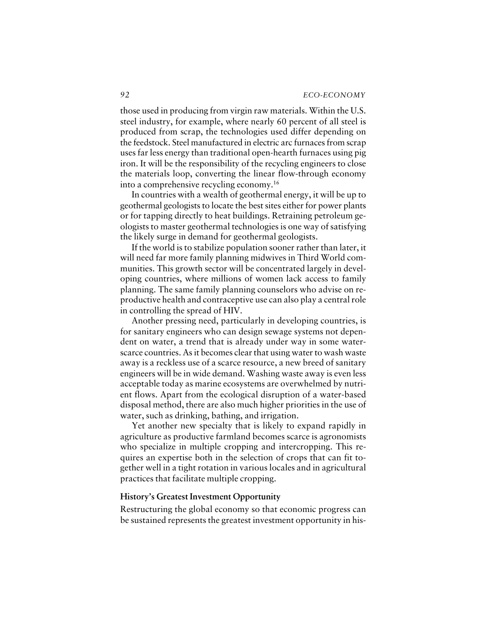those used in producing from virgin raw materials. Within the U.S. steel industry, for example, where nearly 60 percent of all steel is produced from scrap, the technologies used differ depending on the feedstock. Steel manufactured in electric arc furnaces from scrap uses far less energy than traditional open-hearth furnaces using pig iron. It will be the responsibility of the recycling engineers to close the materials loop, converting the linear flow-through economy into a comprehensive recycling economy.<sup>16</sup>

In countries with a wealth of geothermal energy, it will be up to geothermal geologists to locate the best sites either for power plants or for tapping directly to heat buildings. Retraining petroleum geologists to master geothermal technologies is one way of satisfying the likely surge in demand for geothermal geologists.

If the world is to stabilize population sooner rather than later, it will need far more family planning midwives in Third World communities. This growth sector will be concentrated largely in developing countries, where millions of women lack access to family planning. The same family planning counselors who advise on reproductive health and contraceptive use can also play a central role in controlling the spread of HIV.

Another pressing need, particularly in developing countries, is for sanitary engineers who can design sewage systems not dependent on water, a trend that is already under way in some waterscarce countries. As it becomes clear that using water to wash waste away is a reckless use of a scarce resource, a new breed of sanitary engineers will be in wide demand. Washing waste away is even less acceptable today as marine ecosystems are overwhelmed by nutrient flows. Apart from the ecological disruption of a water-based disposal method, there are also much higher priorities in the use of water, such as drinking, bathing, and irrigation.

Yet another new specialty that is likely to expand rapidly in agriculture as productive farmland becomes scarce is agronomists who specialize in multiple cropping and intercropping. This requires an expertise both in the selection of crops that can fit together well in a tight rotation in various locales and in agricultural practices that facilitate multiple cropping.

## **History's Greatest Investment Opportunity**

Restructuring the global economy so that economic progress can be sustained represents the greatest investment opportunity in his-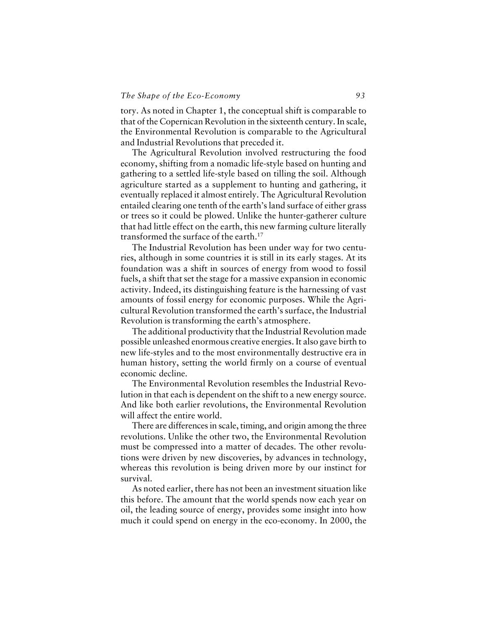tory. As noted in Chapter 1, the conceptual shift is comparable to that of the Copernican Revolution in the sixteenth century. In scale, the Environmental Revolution is comparable to the Agricultural and Industrial Revolutions that preceded it.

The Agricultural Revolution involved restructuring the food economy, shifting from a nomadic life-style based on hunting and gathering to a settled life-style based on tilling the soil. Although agriculture started as a supplement to hunting and gathering, it eventually replaced it almost entirely. The Agricultural Revolution entailed clearing one tenth of the earth's land surface of either grass or trees so it could be plowed. Unlike the hunter-gatherer culture that had little effect on the earth, this new farming culture literally transformed the surface of the earth.<sup>17</sup>

The Industrial Revolution has been under way for two centuries, although in some countries it is still in its early stages. At its foundation was a shift in sources of energy from wood to fossil fuels, a shift that set the stage for a massive expansion in economic activity. Indeed, its distinguishing feature is the harnessing of vast amounts of fossil energy for economic purposes. While the Agricultural Revolution transformed the earth's surface, the Industrial Revolution is transforming the earth's atmosphere.

The additional productivity that the Industrial Revolution made possible unleashed enormous creative energies. It also gave birth to new life-styles and to the most environmentally destructive era in human history, setting the world firmly on a course of eventual economic decline.

The Environmental Revolution resembles the Industrial Revolution in that each is dependent on the shift to a new energy source. And like both earlier revolutions, the Environmental Revolution will affect the entire world.

There are differences in scale, timing, and origin among the three revolutions. Unlike the other two, the Environmental Revolution must be compressed into a matter of decades. The other revolutions were driven by new discoveries, by advances in technology, whereas this revolution is being driven more by our instinct for survival.

As noted earlier, there has not been an investment situation like this before. The amount that the world spends now each year on oil, the leading source of energy, provides some insight into how much it could spend on energy in the eco-economy. In 2000, the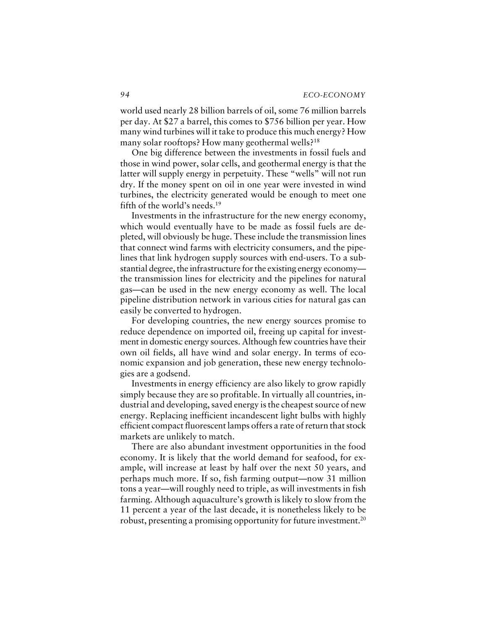world used nearly 28 billion barrels of oil, some 76 million barrels per day. At \$27 a barrel, this comes to \$756 billion per year. How many wind turbines will it take to produce this much energy? How many solar rooftops? How many geothermal wells?<sup>18</sup>

One big difference between the investments in fossil fuels and those in wind power, solar cells, and geothermal energy is that the latter will supply energy in perpetuity. These "wells" will not run dry. If the money spent on oil in one year were invested in wind turbines, the electricity generated would be enough to meet one fifth of the world's needs.<sup>19</sup>

Investments in the infrastructure for the new energy economy, which would eventually have to be made as fossil fuels are depleted, will obviously be huge. These include the transmission lines that connect wind farms with electricity consumers, and the pipelines that link hydrogen supply sources with end-users. To a substantial degree, the infrastructure for the existing energy economy the transmission lines for electricity and the pipelines for natural gas—can be used in the new energy economy as well. The local pipeline distribution network in various cities for natural gas can easily be converted to hydrogen.

For developing countries, the new energy sources promise to reduce dependence on imported oil, freeing up capital for investment in domestic energy sources. Although few countries have their own oil fields, all have wind and solar energy. In terms of economic expansion and job generation, these new energy technologies are a godsend.

Investments in energy efficiency are also likely to grow rapidly simply because they are so profitable. In virtually all countries, industrial and developing, saved energy is the cheapest source of new energy. Replacing inefficient incandescent light bulbs with highly efficient compact fluorescent lamps offers a rate of return that stock markets are unlikely to match.

There are also abundant investment opportunities in the food economy. It is likely that the world demand for seafood, for example, will increase at least by half over the next 50 years, and perhaps much more. If so, fish farming output—now 31 million tons a year—will roughly need to triple, as will investments in fish farming. Although aquaculture's growth is likely to slow from the 11 percent a year of the last decade, it is nonetheless likely to be robust, presenting a promising opportunity for future investment.<sup>20</sup>